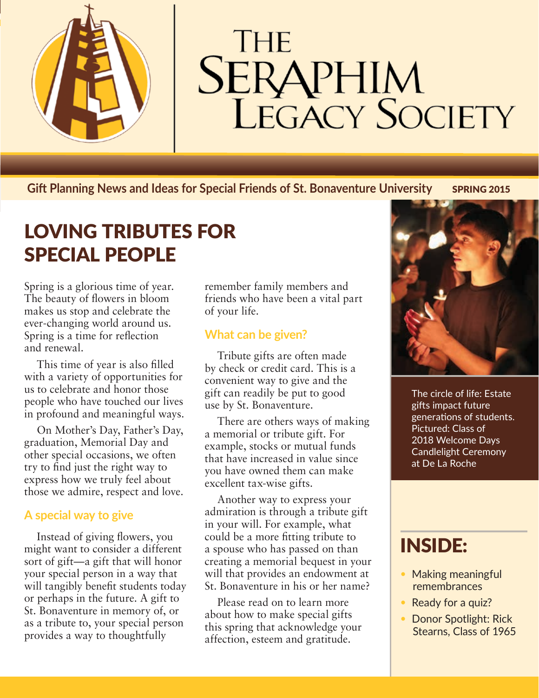

# **THE SERAPHIM**<br>LEGACY SOCIETY

**Gift Planning News and Ideas for Special Friends of St. Bonaventure University SPRING 2015** 

## LOVING TRIBUTES FOR SPECIAL PEOPLE

Spring is a glorious time of year. The beauty of flowers in bloom makes us stop and celebrate the ever-changing world around us. Spring is a time for reflection and renewal.

This time of year is also filled with a variety of opportunities for us to celebrate and honor those people who have touched our lives in profound and meaningful ways.

On Mother's Day, Father's Day, graduation, Memorial Day and other special occasions, we often try to find just the right way to express how we truly feel about those we admire, respect and love.

### **A special way to give**

Instead of giving flowers, you might want to consider a different sort of gift—a gift that will honor your special person in a way that will tangibly benefit students today or perhaps in the future. A gift to St. Bonaventure in memory of, or as a tribute to, your special person provides a way to thoughtfully

remember family members and friends who have been a vital part of your life.

#### **What can be given?**

Tribute gifts are often made by check or credit card. This is a convenient way to give and the gift can readily be put to good use by St. Bonaventure.

There are others ways of making a memorial or tribute gift. For example, stocks or mutual funds that have increased in value since you have owned them can make excellent tax-wise gifts.

Another way to express your admiration is through a tribute gift in your will. For example, what could be a more fitting tribute to a spouse who has passed on than creating a memorial bequest in your will that provides an endowment at St. Bonaventure in his or her name?

Please read on to learn more about how to make special gifts this spring that acknowledge your affection, esteem and gratitude.



The circle of life: Estate gifts impact future generations of students. Pictured: Class of 2018 Welcome Days Candlelight Ceremony at De La Roche

## INSIDE:

- Making meaningful remembrances
- Ready for a quiz?
- Donor Spotlight: Rick Stearns, Class of 1965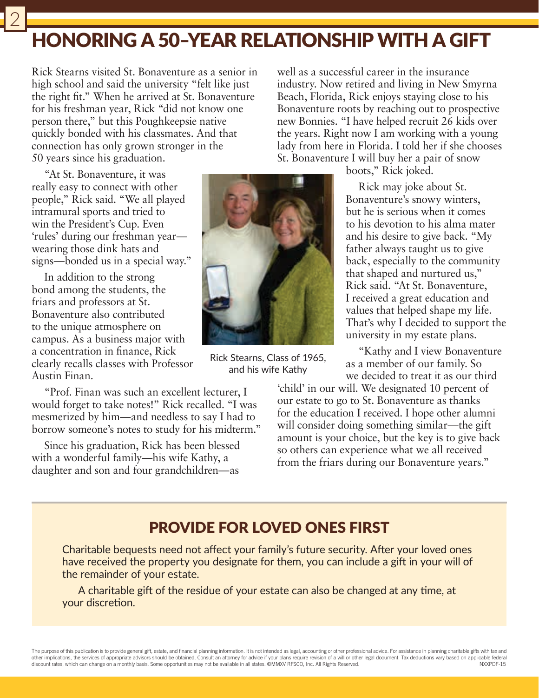## HONORING A 50‒YEAR RELATIONSHIP WITH A GIFT

Rick Stearns visited St. Bonaventure as a senior in high school and said the university "felt like just the right fit." When he arrived at St. Bonaventure for his freshman year, Rick "did not know one person there," but this Poughkeepsie native quickly bonded with his classmates. And that connection has only grown stronger in the 50 years since his graduation.

"At St. Bonaventure, it was really easy to connect with other people," Rick said. "We all played intramural sports and tried to win the President's Cup. Even 'rules' during our freshman year wearing those dink hats and signs—bonded us in a special way."

2

In addition to the strong bond among the students, the friars and professors at St. Bonaventure also contributed to the unique atmosphere on campus. As a business major with a concentration in finance, Rick clearly recalls classes with Professor Austin Finan.

"Prof. Finan was such an excellent lecturer, I would forget to take notes!" Rick recalled. "I was mesmerized by him—and needless to say I had to borrow someone's notes to study for his midterm."

Since his graduation, Rick has been blessed with a wonderful family—his wife Kathy, a daughter and son and four grandchildren—as



Rick Stearns, Class of 1965, and his wife Kathy

well as a successful career in the insurance industry. Now retired and living in New Smyrna Beach, Florida, Rick enjoys staying close to his Bonaventure roots by reaching out to prospective new Bonnies. "I have helped recruit 26 kids over the years. Right now I am working with a young lady from here in Florida. I told her if she chooses St. Bonaventure I will buy her a pair of snow

boots," Rick joked.

Rick may joke about St. Bonaventure's snowy winters, but he is serious when it comes to his devotion to his alma mater and his desire to give back. "My father always taught us to give back, especially to the community that shaped and nurtured us," Rick said. "At St. Bonaventure, I received a great education and values that helped shape my life. That's why I decided to support the university in my estate plans.

"Kathy and I view Bonaventure as a member of our family. So we decided to treat it as our third

'child' in our will. We designated 10 percent of our estate to go to St. Bonaventure as thanks for the education I received. I hope other alumni will consider doing something similar—the gift amount is your choice, but the key is to give back so others can experience what we all received from the friars during our Bonaventure years."

## PROVIDE FOR LOVED ONES FIRST

Charitable bequests need not affect your family's future security. After your loved ones have received the property you designate for them, you can include a gift in your will of the remainder of your estate.

A charitable gift of the residue of your estate can also be changed at any time, at your discretion.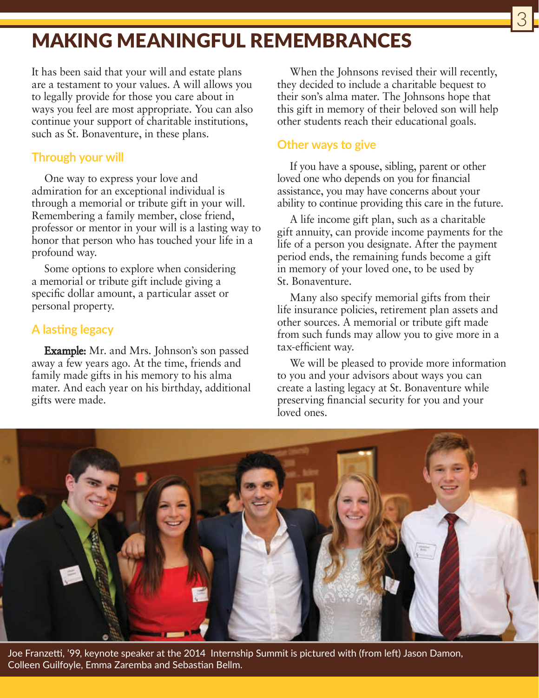## MAKING MEANINGFUL REMEMBRANCES

It has been said that your will and estate plans are a testament to your values. A will allows you to legally provide for those you care about in ways you feel are most appropriate. You can also continue your support of charitable institutions, such as St. Bonaventure, in these plans.

#### **Through your will**

One way to express your love and admiration for an exceptional individual is through a memorial or tribute gift in your will. Remembering a family member, close friend, professor or mentor in your will is a lasting way to honor that person who has touched your life in a profound way.

Some options to explore when considering a memorial or tribute gift include giving a specific dollar amount, a particular asset or personal property.

#### **A lasting legacy**

Example: Mr. and Mrs. Johnson's son passed away a few years ago. At the time, friends and family made gifts in his memory to his alma mater. And each year on his birthday, additional gifts were made.

When the Johnsons revised their will recently, they decided to include a charitable bequest to their son's alma mater. The Johnsons hope that this gift in memory of their beloved son will help other students reach their educational goals.

3

#### **Other ways to give**

If you have a spouse, sibling, parent or other loved one who depends on you for financial assistance, you may have concerns about your ability to continue providing this care in the future.

A life income gift plan, such as a charitable gift annuity, can provide income payments for the life of a person you designate. After the payment period ends, the remaining funds become a gift in memory of your loved one, to be used by St. Bonaventure.

Many also specify memorial gifts from their life insurance policies, retirement plan assets and other sources. A memorial or tribute gift made from such funds may allow you to give more in a tax-efficient way.

We will be pleased to provide more information to you and your advisors about ways you can create a lasting legacy at St. Bonaventure while preserving financial security for you and your loved ones.



Joe Franzetti, '99, keynote speaker at the 2014 Internship Summit is pictured with (from left) Jason Damon, Colleen Guilfoyle, Emma Zaremba and Sebastian Bellm.